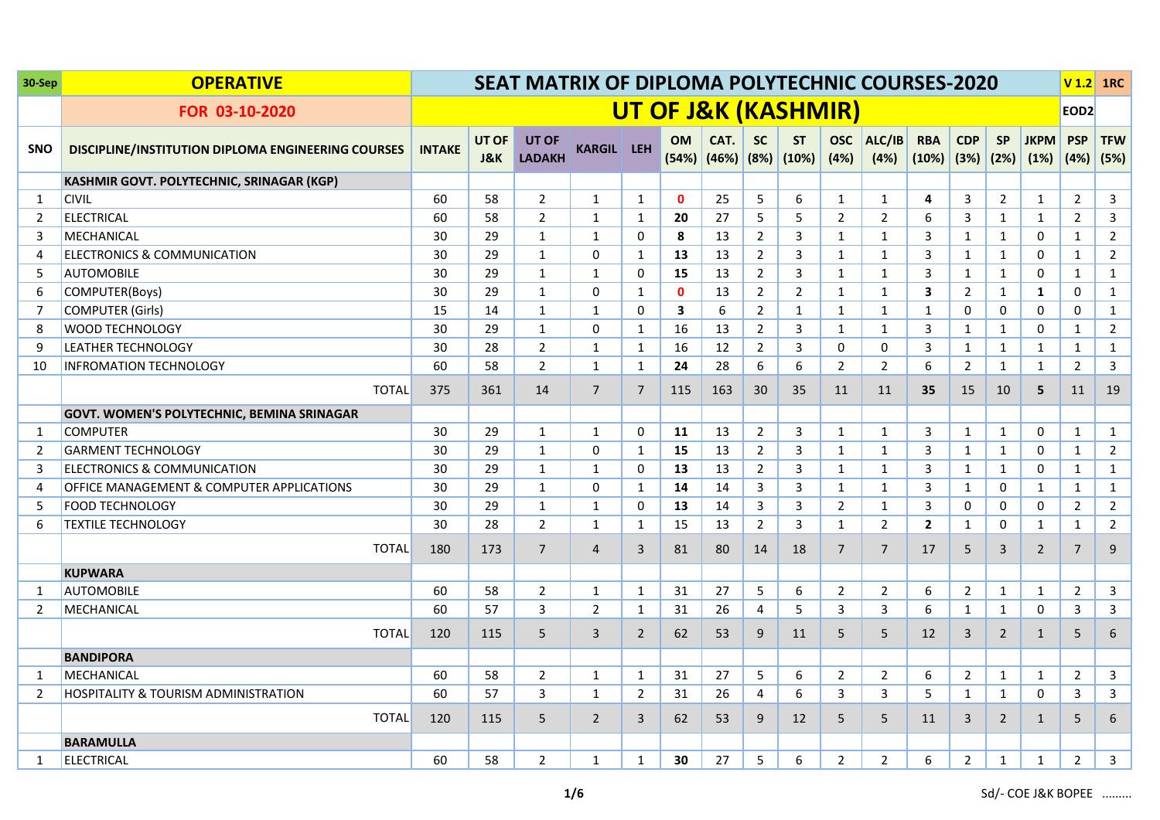| 30-Sep         | <b>OPERATIVE</b>                                   | <b>SEAT MATRIX OF DIPLOMA POLYTECHNIC COURSES-2020</b><br><b>UT OF J&amp;K (KASHMIR)</b> |                         |                               |                   |                |              |                       |                        |                    |                    |                |                                        |                |                | $V$ 1.2 1RC         |                    |                    |
|----------------|----------------------------------------------------|------------------------------------------------------------------------------------------|-------------------------|-------------------------------|-------------------|----------------|--------------|-----------------------|------------------------|--------------------|--------------------|----------------|----------------------------------------|----------------|----------------|---------------------|--------------------|--------------------|
|                | FOR 03-10-2020                                     |                                                                                          |                         |                               |                   |                |              |                       |                        |                    |                    |                |                                        |                |                |                     | EOD <sub>2</sub>   |                    |
| <b>SNO</b>     | DISCIPLINE/INSTITUTION DIPLOMA ENGINEERING COURSES | <b>INTAKE</b>                                                                            | UT OF<br><b>J&amp;K</b> | <b>UT OF</b><br><b>LADAKH</b> | <b>KARGIL LEH</b> |                | <b>OM</b>    | CAT.<br>$(54%)$ (46%) | <b>SC</b><br>$ (8\%) $ | <b>ST</b><br>(10%) | <b>OSC</b><br>(4%) | ALC/IB<br>(4%) | <b>RBA</b><br>$(10\%)$ $(3\%)$ $(2\%)$ | <b>CDP</b>     | <b>SP</b>      | <b>JKPM</b><br>(1%) | <b>PSP</b><br>(4%) | <b>TFW</b><br>(5%) |
|                | KASHMIR GOVT. POLYTECHNIC, SRINAGAR (KGP)          |                                                                                          |                         |                               |                   |                |              |                       |                        |                    |                    |                |                                        |                |                |                     |                    |                    |
| 1              | <b>CIVIL</b>                                       | 60                                                                                       | 58                      | $\overline{2}$                | 1                 | 1              | $\mathbf{0}$ | 25                    | 5                      | 6                  | 1                  | $\mathbf{1}$   | 4                                      | 3              | $\overline{2}$ | 1                   | $\overline{2}$     | 3                  |
| 2              | <b>ELECTRICAL</b>                                  | 60                                                                                       | 58                      | $\overline{2}$                | $\mathbf{1}$      | 1              | 20           | 27                    | 5                      | 5                  | $\overline{2}$     | $\overline{2}$ | 6                                      | 3              | $\mathbf{1}$   | $\mathbf{1}$        | $\overline{2}$     | $\overline{3}$     |
| 3              | MECHANICAL                                         | 30                                                                                       | 29                      | $\mathbf{1}$                  | $\mathbf{1}$      | 0              | 8            | 13                    | $\overline{2}$         | 3                  | $\mathbf{1}$       | $\mathbf{1}$   | 3                                      | 1              | $\mathbf{1}$   | 0                   | $\mathbf{1}$       | $2^{\circ}$        |
| 4              | <b>ELECTRONICS &amp; COMMUNICATION</b>             | 30                                                                                       | 29                      | $\mathbf{1}$                  | $\Omega$          | $\mathbf{1}$   | 13           | 13                    | $\overline{2}$         | 3                  | $\mathbf{1}$       | $\mathbf{1}$   | 3                                      | $\mathbf{1}$   | $\mathbf{1}$   | $\mathbf 0$         | $\mathbf{1}$       | $2^{\circ}$        |
| 5              | <b>AUTOMOBILE</b>                                  | 30                                                                                       | 29                      | $\mathbf{1}$                  | $\mathbf{1}$      | 0              | 15           | 13                    | $\overline{2}$         | $\mathbf{3}$       | $\mathbf{1}$       | $\mathbf{1}$   | 3                                      | $\mathbf{1}$   | $\mathbf{1}$   | 0                   | $\mathbf{1}$       | $\mathbf{1}$       |
| 6              | COMPUTER(Boys)                                     | 30                                                                                       | 29                      | $\mathbf{1}$                  | $\mathbf 0$       | 1              | $\mathbf{0}$ | 13                    | $\overline{2}$         | $\overline{2}$     | $\mathbf{1}$       | $\mathbf{1}$   | 3                                      | $\overline{2}$ | $\mathbf{1}$   | $\mathbf{1}$        | 0                  | $\mathbf{1}$       |
| $\overline{7}$ | <b>COMPUTER (Girls)</b>                            | 15                                                                                       | 14                      | $\mathbf{1}$                  | $\mathbf{1}$      | $\Omega$       | 3            | 6                     | $\overline{2}$         | $\mathbf{1}$       | $\mathbf{1}$       | $\mathbf{1}$   | $\mathbf{1}$                           | 0              | 0              | $\mathbf 0$         | 0                  | $\mathbf{1}$       |
| 8              | <b>WOOD TECHNOLOGY</b>                             | 30                                                                                       | 29                      | $\mathbf{1}$                  | $\mathbf 0$       | $\mathbf 1$    | 16           | 13                    | $\overline{2}$         | $\mathbf{3}$       | $\mathbf{1}$       | $\mathbf{1}$   | 3                                      | $\mathbf{1}$   | $\mathbf{1}$   | $\pmb{0}$           | $\mathbf{1}$       | $\overline{2}$     |
| 9              | <b>LEATHER TECHNOLOGY</b>                          | 30                                                                                       | 28                      | $\overline{2}$                | $\mathbf{1}$      | $\mathbf{1}$   | 16           | 12                    | $\overline{2}$         | 3                  | $\mathbf 0$        | 0              | 3                                      | $\mathbf{1}$   | $\mathbf{1}$   | $\mathbf{1}$        | $\mathbf{1}$       | $\mathbf{1}$       |
| 10             | <b>INFROMATION TECHNOLOGY</b>                      | 60                                                                                       | 58                      | $\overline{2}$                | $\mathbf{1}$      | $\mathbf{1}$   | 24           | 28                    | 6                      | $\boldsymbol{6}$   | $\overline{2}$     | $\overline{2}$ | 6                                      | $\overline{2}$ | $\mathbf{1}$   | $\mathbf 1$         | $\overline{2}$     | $\overline{3}$     |
|                | <b>TOTAL</b>                                       | 375                                                                                      | 361                     | 14                            | $\overline{7}$    | $\overline{7}$ | 115          | 163                   | 30                     | 35                 | 11                 | 11             | 35                                     | 15             | 10             | 5                   | 11                 | 19                 |
|                | <b>GOVT. WOMEN'S POLYTECHNIC, BEMINA SRINAGAR</b>  |                                                                                          |                         |                               |                   |                |              |                       |                        |                    |                    |                |                                        |                |                |                     |                    |                    |
| 1              | <b>COMPUTER</b>                                    | 30                                                                                       | 29                      | $\mathbf{1}$                  | $\mathbf{1}$      | 0              | 11           | 13                    | $\overline{2}$         | 3                  | $\mathbf{1}$       | $\mathbf{1}$   | 3                                      | $\mathbf{1}$   | $\mathbf{1}$   | $\mathbf 0$         | $\mathbf{1}$       | $\mathbf{1}$       |
| 2              | <b>GARMENT TECHNOLOGY</b>                          | 30                                                                                       | 29                      | $\mathbf{1}$                  | $\Omega$          | $\mathbf{1}$   | 15           | 13                    | $\overline{2}$         | 3                  | $\mathbf{1}$       | $\mathbf{1}$   | 3                                      | $\mathbf{1}$   | $\mathbf{1}$   | 0                   | $\mathbf{1}$       | $\overline{2}$     |
| 3              | <b>ELECTRONICS &amp; COMMUNICATION</b>             | 30                                                                                       | 29                      | $\mathbf{1}$                  | $\mathbf{1}$      | 0              | 13           | 13                    | $\overline{2}$         | 3                  | $\mathbf{1}$       | $\mathbf{1}$   | 3                                      | $\mathbf{1}$   | $\mathbf{1}$   | 0                   | $\mathbf{1}$       | $\mathbf{1}$       |
| 4              | OFFICE MANAGEMENT & COMPUTER APPLICATIONS          | 30                                                                                       | 29                      | $\mathbf{1}$                  | $\Omega$          | $\mathbf{1}$   | 14           | 14                    | 3                      | 3                  | $\mathbf{1}$       | $\mathbf{1}$   | 3                                      | $\mathbf{1}$   | 0              | $\mathbf{1}$        | $\mathbf{1}$       | $\mathbf{1}$       |
| 5              | <b>FOOD TECHNOLOGY</b>                             | 30                                                                                       | 29                      | $\mathbf{1}$                  | $\mathbf{1}$      | 0              | 13           | 14                    | $\overline{3}$         | $\mathbf{3}$       | $\overline{2}$     | $\mathbf{1}$   | 3                                      | 0              | 0              | $\pmb{0}$           | $\overline{2}$     | $\overline{2}$     |
| 6              | <b>TEXTILE TECHNOLOGY</b>                          | 30                                                                                       | 28                      | $\overline{2}$                | $\mathbf{1}$      | 1              | 15           | 13                    | $\overline{2}$         | 3                  | $\mathbf{1}$       | $\overline{2}$ | $\overline{2}$                         | $\mathbf{1}$   | 0              | $\mathbf{1}$        | $\mathbf{1}$       | $\overline{2}$     |
|                | <b>TOTAL</b>                                       | 180                                                                                      | 173                     | $\overline{7}$                | $\overline{4}$    | 3              | 81           | 80                    | 14                     | 18                 | $\overline{7}$     | $\overline{7}$ | 17                                     | 5              | 3              | $\overline{2}$      | $\overline{7}$     | 9                  |
|                | <b>KUPWARA</b>                                     |                                                                                          |                         |                               |                   |                |              |                       |                        |                    |                    |                |                                        |                |                |                     |                    |                    |
| 1              | <b>AUTOMOBILE</b>                                  | 60                                                                                       | 58                      | $\overline{2}$                | $\mathbf{1}$      | $\mathbf{1}$   | 31           | 27                    | 5                      | 6                  | $\overline{2}$     | $\overline{2}$ | 6                                      | 2              | $\mathbf{1}$   | $\mathbf{1}$        | $\overline{2}$     | 3                  |
| 2              | MECHANICAL                                         | 60                                                                                       | 57                      | 3                             | $\overline{2}$    | $\mathbf{1}$   | 31           | 26                    | 4                      | 5                  | 3                  | 3              | 6                                      | $\mathbf{1}$   | $\mathbf{1}$   | $\mathbf 0$         | 3                  | 3                  |
|                | <b>TOTAL</b>                                       | 120                                                                                      | 115                     | 5                             | 3                 | 2              | 62           | 53                    | 9                      | 11                 | 5                  | 5              | 12                                     | 3              | $\overline{2}$ | $\mathbf{1}$        | 5                  | 6                  |
|                | <b>BANDIPORA</b>                                   |                                                                                          |                         |                               |                   |                |              |                       |                        |                    |                    |                |                                        |                |                |                     |                    |                    |
| 1              | MECHANICAL                                         | 60                                                                                       | 58                      | $\overline{2}$                | 1                 | 1              | 31           | 27                    | 5                      | 6                  | $\overline{2}$     | $\overline{2}$ | 6                                      | $\overline{2}$ | $\mathbf{1}$   | $\mathbf{1}$        | $\overline{2}$     | $\overline{3}$     |
| 2              | <b>HOSPITALITY &amp; TOURISM ADMINISTRATION</b>    | 60                                                                                       | 57                      | $\overline{3}$                | $\mathbf{1}$      | $\overline{2}$ | 31           | 26                    | 4                      | 6                  | 3                  | 3              | 5                                      | $\mathbf{1}$   | $\mathbf{1}$   | $\mathbf 0$         | 3                  | 3                  |
|                | <b>TOTAL</b>                                       | 120                                                                                      | 115                     | 5                             | $\overline{2}$    | 3              | 62           | 53                    | 9                      | 12                 | 5                  | 5              | 11                                     | 3              | $\overline{2}$ | $\mathbf{1}$        | 5                  | 6                  |
|                | <b>BARAMULLA</b>                                   |                                                                                          |                         |                               |                   |                |              |                       |                        |                    |                    |                |                                        |                |                |                     |                    |                    |
| 1              | <b>ELECTRICAL</b>                                  | 60                                                                                       | 58                      | $\overline{2}$                | 1                 | $\mathbf{1}$   | 30           | 27                    | 5                      | 6                  | $\overline{2}$     | $\overline{2}$ | 6                                      | $\overline{2}$ | $\mathbf{1}$   | $\mathbf{1}$        | $\overline{2}$     | $\overline{3}$     |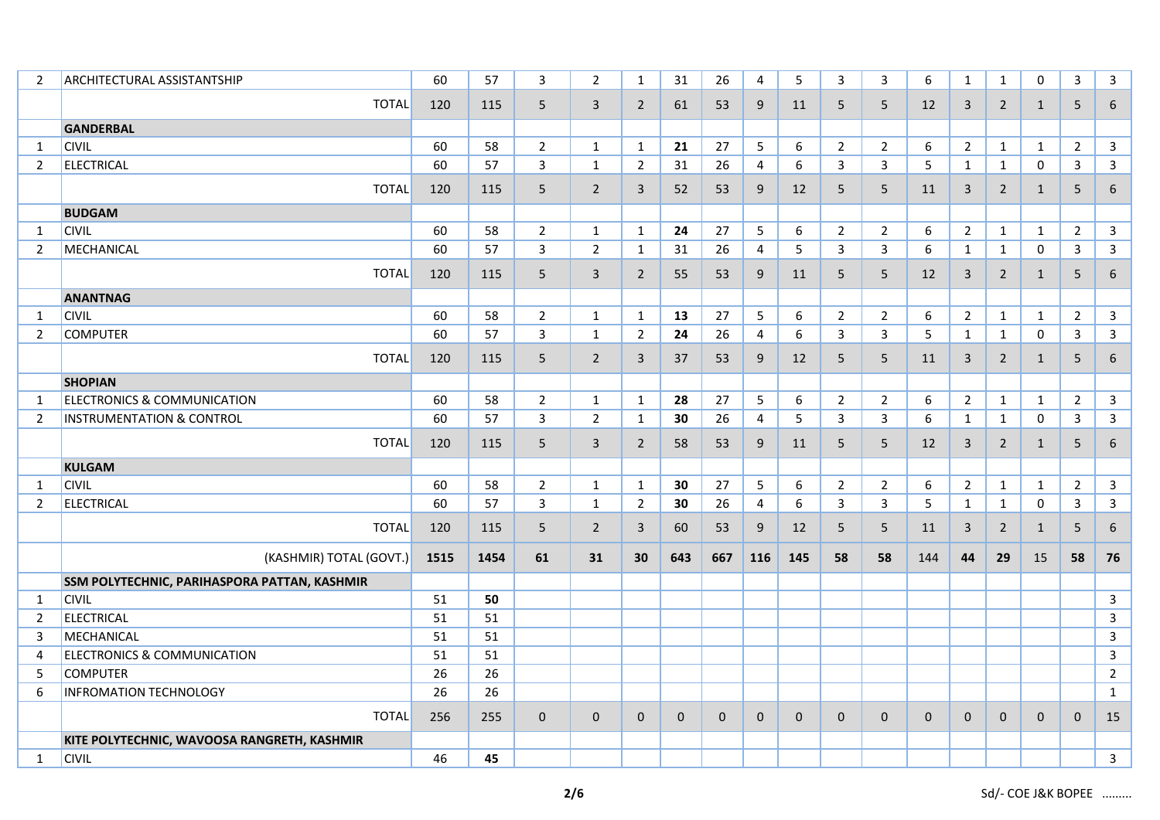| $\overline{2}$ | <b>ARCHITECTURAL ASSISTANTSHIP</b>           | 60   | 57   | 3              | $\overline{2}$ | $\mathbf{1}$   | 31           | 26           | 4              | 5            | $\mathbf{3}$   | $\overline{3}$ | 6            | $\mathbf{1}$   | $\mathbf{1}$   | $\Omega$     | $\mathbf{3}$   | $\mathbf{3}$   |
|----------------|----------------------------------------------|------|------|----------------|----------------|----------------|--------------|--------------|----------------|--------------|----------------|----------------|--------------|----------------|----------------|--------------|----------------|----------------|
|                | <b>TOTAL</b>                                 | 120  | 115  | 5              | 3              | $\overline{2}$ | 61           | 53           | 9              | 11           | 5              | 5              | 12           | $\mathbf{3}$   | $\overline{2}$ | $\mathbf{1}$ | 5              | 6              |
|                | <b>GANDERBAL</b>                             |      |      |                |                |                |              |              |                |              |                |                |              |                |                |              |                |                |
| 1              | <b>CIVIL</b>                                 | 60   | 58   | $\overline{2}$ | $\mathbf{1}$   | $\mathbf{1}$   | 21           | 27           | 5              | 6            | $\overline{2}$ | $\overline{2}$ | 6            | $\overline{2}$ | $\mathbf{1}$   | $\mathbf{1}$ | $\overline{2}$ | $\mathbf{3}$   |
| $\overline{2}$ | <b>ELECTRICAL</b>                            | 60   | 57   | $\mathbf{3}$   | $\mathbf{1}$   | $\overline{2}$ | 31           | 26           | $\overline{4}$ | 6            | $\mathbf{3}$   | 3              | 5            | $\mathbf{1}$   | $\mathbf{1}$   | $\mathbf 0$  | $\mathbf{3}$   | $\mathbf{3}$   |
|                | <b>TOTAL</b>                                 | 120  | 115  | 5              | $\overline{2}$ | $\mathbf{3}$   | 52           | 53           | 9              | 12           | 5              | 5              | 11           | $\mathbf{3}$   | $\overline{2}$ | $\mathbf{1}$ | 5              | 6              |
|                | <b>BUDGAM</b>                                |      |      |                |                |                |              |              |                |              |                |                |              |                |                |              |                |                |
| 1              | <b>CIVIL</b>                                 | 60   | 58   | $\overline{2}$ | $\mathbf{1}$   | $\mathbf{1}$   | 24           | 27           | 5              | 6            | $\overline{2}$ | $\overline{2}$ | 6            | $\overline{2}$ | $\mathbf{1}$   | $\mathbf{1}$ | $\overline{2}$ | 3              |
| 2              | MECHANICAL                                   | 60   | 57   | 3              | $\overline{2}$ | $\mathbf{1}$   | 31           | 26           | 4              | 5            | 3              | 3              | 6            | $\mathbf{1}$   | $\mathbf{1}$   | $\mathbf 0$  | 3              | $\mathbf{3}$   |
|                | <b>TOTAL</b>                                 | 120  | 115  | 5              | $\overline{3}$ | $\overline{2}$ | 55           | 53           | 9              | 11           | 5              | 5              | 12           | $\mathbf{3}$   | $\overline{2}$ | $\mathbf{1}$ | 5              | $\,6\,$        |
|                | <b>ANANTNAG</b>                              |      |      |                |                |                |              |              |                |              |                |                |              |                |                |              |                |                |
| 1              | <b>CIVIL</b>                                 | 60   | 58   | $\overline{2}$ | $\mathbf{1}$   | $\mathbf{1}$   | 13           | 27           | 5              | 6            | $\overline{2}$ | $\overline{2}$ | 6            | $\overline{2}$ | $\mathbf{1}$   | $\mathbf{1}$ | $\overline{2}$ | $\mathbf{3}$   |
| $\overline{2}$ | <b>COMPUTER</b>                              | 60   | 57   | $\mathbf{3}$   | $\mathbf{1}$   | $\overline{2}$ | 24           | 26           | 4              | 6            | 3              | 3              | 5            | $\mathbf{1}$   | $\mathbf{1}$   | $\mathbf 0$  | $\mathbf{3}$   | $\mathbf{3}$   |
|                | <b>TOTAL</b>                                 | 120  | 115  | 5              | $\overline{2}$ | 3              | 37           | 53           | 9              | 12           | 5              | 5              | 11           | 3              | $\overline{2}$ | $\mathbf{1}$ | 5              | $\,6\,$        |
|                | <b>SHOPIAN</b>                               |      |      |                |                |                |              |              |                |              |                |                |              |                |                |              |                |                |
| 1              | <b>ELECTRONICS &amp; COMMUNICATION</b>       | 60   | 58   | $\overline{2}$ | $\mathbf{1}$   | $\mathbf{1}$   | 28           | 27           | 5              | 6            | $\overline{2}$ | $\overline{2}$ | 6            | $\overline{2}$ | $\mathbf{1}$   | $\mathbf{1}$ | $\overline{2}$ | 3              |
| $\overline{2}$ | <b>INSTRUMENTATION &amp; CONTROL</b>         | 60   | 57   | $\mathbf{3}$   | $\overline{2}$ | $\mathbf{1}$   | 30           | 26           | 4              | 5            | $\mathbf{3}$   | 3              | 6            | $\mathbf{1}$   | $\mathbf{1}$   | $\mathbf{0}$ | 3              | $\mathbf{3}$   |
|                | <b>TOTAL</b>                                 | 120  | 115  | 5              | $\overline{3}$ | $\overline{2}$ | 58           | 53           | 9              | 11           | 5              | 5              | 12           | 3              | $\overline{2}$ | $\mathbf{1}$ | 5              | 6              |
|                | <b>KULGAM</b>                                |      |      |                |                |                |              |              |                |              |                |                |              |                |                |              |                |                |
| 1              | <b>CIVIL</b>                                 | 60   | 58   | $\overline{2}$ | $\mathbf{1}$   | $\mathbf{1}$   | 30           | 27           | 5              | 6            | $\overline{2}$ | $\overline{2}$ | 6            | $\overline{2}$ | $\mathbf{1}$   | $\mathbf{1}$ | $\overline{2}$ | $\mathbf{3}$   |
| $\overline{2}$ | <b>ELECTRICAL</b>                            | 60   | 57   | $\overline{3}$ | $\mathbf{1}$   | $\overline{2}$ | 30           | 26           | 4              | 6            | 3              | 3              | 5            | $\mathbf{1}$   | $\mathbf{1}$   | $\mathbf 0$  | 3              | $\overline{3}$ |
|                | <b>TOTAL</b>                                 | 120  | 115  | 5              | $\overline{2}$ | $\mathbf{3}$   | 60           | 53           | 9              | 12           | 5              | 5              | 11           | $\mathbf{3}$   | $\overline{2}$ | $\mathbf{1}$ | 5              | 6              |
|                | (KASHMIR) TOTAL (GOVT.)                      | 1515 | 1454 | 61             | 31             | 30             | 643          | 667          | 116            | 145          | 58             | 58             | 144          | 44             | 29             | 15           | 58             | 76             |
|                | SSM POLYTECHNIC, PARIHASPORA PATTAN, KASHMIR |      |      |                |                |                |              |              |                |              |                |                |              |                |                |              |                |                |
| 1              | <b>CIVIL</b>                                 | 51   | 50   |                |                |                |              |              |                |              |                |                |              |                |                |              |                | 3              |
| 2              | <b>ELECTRICAL</b>                            | 51   | 51   |                |                |                |              |              |                |              |                |                |              |                |                |              |                | 3              |
| 3              | MECHANICAL                                   | 51   | 51   |                |                |                |              |              |                |              |                |                |              |                |                |              |                | $\mathbf{3}$   |
| 4              | <b>ELECTRONICS &amp; COMMUNICATION</b>       | 51   | 51   |                |                |                |              |              |                |              |                |                |              |                |                |              |                | 3              |
| 5              | <b>COMPUTER</b>                              | 26   | 26   |                |                |                |              |              |                |              |                |                |              |                |                |              |                | $\overline{2}$ |
| 6              | <b>INFROMATION TECHNOLOGY</b>                | 26   | 26   |                |                |                |              |              |                |              |                |                |              |                |                |              |                | $\mathbf{1}$   |
|                | <b>TOTAL</b>                                 | 256  | 255  | $\mathbf{0}$   | $\mathbf{0}$   | $\mathbf{0}$   | $\mathbf{0}$ | $\mathbf{0}$ | $\mathbf{0}$   | $\mathbf{0}$ | $\mathbf 0$    | 0              | $\mathbf{0}$ | $\mathbf 0$    | $\mathbf{0}$   | $\mathbf{0}$ | $\mathbf{0}$   | 15             |
|                | KITE POLYTECHNIC, WAVOOSA RANGRETH, KASHMIR  |      |      |                |                |                |              |              |                |              |                |                |              |                |                |              |                |                |
| $\mathbf{1}$   | <b>CIVIL</b>                                 | 46   | 45   |                |                |                |              |              |                |              |                |                |              |                |                |              |                | $\mathbf{3}$   |
|                |                                              |      |      |                |                |                |              |              |                |              |                |                |              |                |                |              |                |                |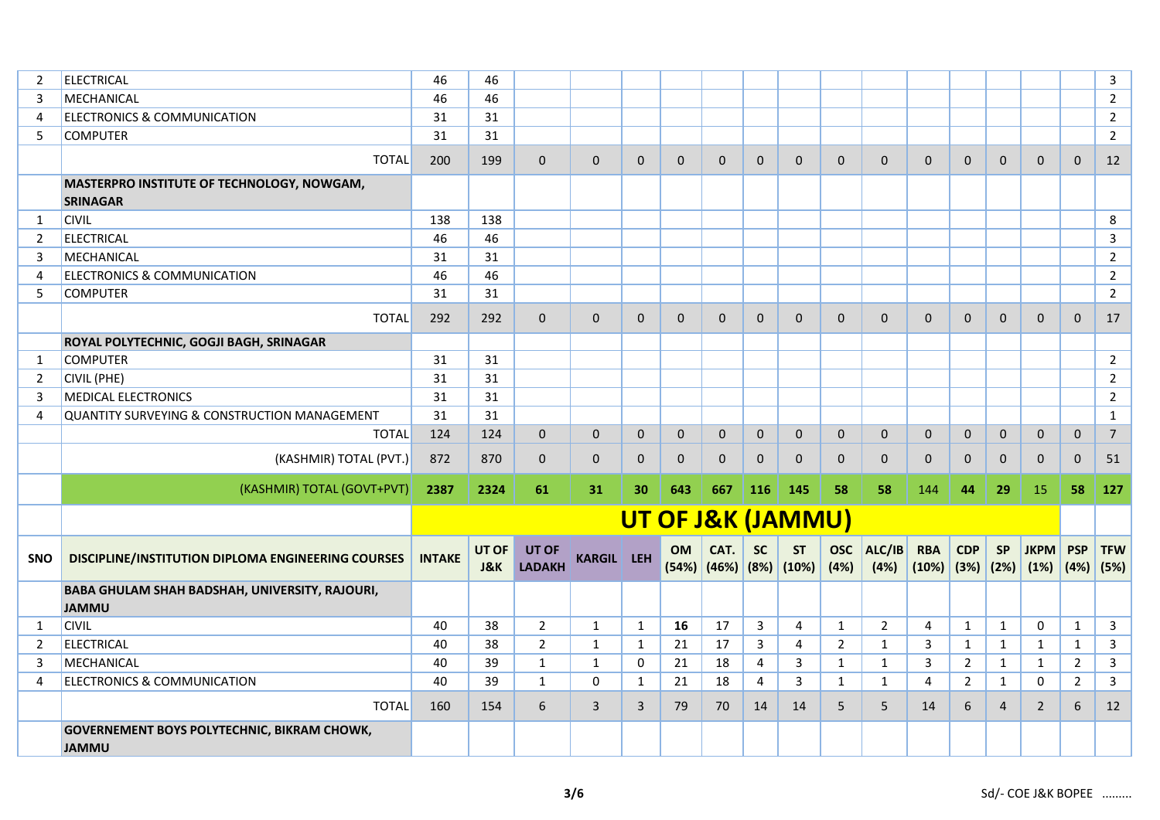| 2              | <b>ELECTRICAL</b>                                                  | 46            | 46                      |                               |                   |                |                              |              |                |                                             |                    |                |                                  |                |              |                     |                           | $\overline{3}$ |
|----------------|--------------------------------------------------------------------|---------------|-------------------------|-------------------------------|-------------------|----------------|------------------------------|--------------|----------------|---------------------------------------------|--------------------|----------------|----------------------------------|----------------|--------------|---------------------|---------------------------|----------------|
| 3              | MECHANICAL                                                         | 46            | 46                      |                               |                   |                |                              |              |                |                                             |                    |                |                                  |                |              |                     |                           | $\overline{2}$ |
| 4              | <b>ELECTRONICS &amp; COMMUNICATION</b>                             | 31            | 31                      |                               |                   |                |                              |              |                |                                             |                    |                |                                  |                |              |                     |                           | $\overline{2}$ |
| 5              | <b>COMPUTER</b>                                                    | 31            | 31                      |                               |                   |                |                              |              |                |                                             |                    |                |                                  |                |              |                     |                           | $\overline{2}$ |
|                | <b>TOTAL</b>                                                       | 200           | 199                     | $\Omega$                      | $\Omega$          | $\Omega$       | $\mathbf 0$                  | $\Omega$     | $\mathbf{0}$   | $\mathbf{0}$                                | $\mathbf{0}$       | $\mathbf{0}$   | $\mathbf{0}$                     | $\mathbf{0}$   | $\mathbf{0}$ | $\Omega$            | $\mathbf{0}$              | 12             |
|                | MASTERPRO INSTITUTE OF TECHNOLOGY, NOWGAM,<br><b>SRINAGAR</b>      |               |                         |                               |                   |                |                              |              |                |                                             |                    |                |                                  |                |              |                     |                           |                |
| 1              | <b>CIVIL</b>                                                       | 138           | 138                     |                               |                   |                |                              |              |                |                                             |                    |                |                                  |                |              |                     |                           | 8              |
| $\overline{2}$ | <b>ELECTRICAL</b>                                                  | 46            | 46                      |                               |                   |                |                              |              |                |                                             |                    |                |                                  |                |              |                     |                           | 3              |
| 3              | MECHANICAL                                                         | 31            | 31                      |                               |                   |                |                              |              |                |                                             |                    |                |                                  |                |              |                     |                           | $\overline{2}$ |
| $\overline{4}$ | <b>ELECTRONICS &amp; COMMUNICATION</b>                             | 46            | 46                      |                               |                   |                |                              |              |                |                                             |                    |                |                                  |                |              |                     |                           | $\overline{2}$ |
| 5              | <b>COMPUTER</b>                                                    | 31            | 31                      |                               |                   |                |                              |              |                |                                             |                    |                |                                  |                |              |                     |                           | $\overline{2}$ |
|                | <b>TOTAL</b>                                                       | 292           | 292                     | $\Omega$                      | $\Omega$          | $\Omega$       | $\Omega$                     | $\Omega$     | $\mathbf{0}$   | 0                                           | $\mathbf 0$        | $\mathbf 0$    | $\mathbf 0$                      | $\mathbf{0}$   | $\mathbf 0$  | $\Omega$            | $\mathbf 0$               | 17             |
|                | ROYAL POLYTECHNIC, GOGJI BAGH, SRINAGAR                            |               |                         |                               |                   |                |                              |              |                |                                             |                    |                |                                  |                |              |                     |                           |                |
| 1              | <b>COMPUTER</b>                                                    | 31            | 31                      |                               |                   |                |                              |              |                |                                             |                    |                |                                  |                |              |                     |                           | $\overline{2}$ |
| 2              | <b>CIVIL (PHE)</b>                                                 | 31            | 31                      |                               |                   |                |                              |              |                |                                             |                    |                |                                  |                |              |                     |                           | $\overline{2}$ |
| 3              | <b>MEDICAL ELECTRONICS</b>                                         | 31            | 31                      |                               |                   |                |                              |              |                |                                             |                    |                |                                  |                |              |                     |                           | $\overline{2}$ |
| 4              | QUANTITY SURVEYING & CONSTRUCTION MANAGEMENT                       | 31            | 31                      |                               |                   |                |                              |              |                |                                             |                    |                |                                  |                |              |                     |                           | $\mathbf{1}$   |
|                | <b>TOTAL</b>                                                       | 124           | 124                     | 0                             | $\mathbf 0$       | $\mathbf 0$    | $\mathbf 0$                  | $\mathbf{0}$ | $\mathbf 0$    | $\mathbf{0}$                                | $\mathbf 0$        | $\mathbf 0$    | $\mathbf 0$                      | $\mathbf 0$    | $\mathbf 0$  | $\mathbf 0$         | $\mathbf 0$               | $\overline{7}$ |
|                | (KASHMIR) TOTAL (PVT.)                                             | 872           | 870                     | $\Omega$                      | $\mathbf{0}$      | $\mathbf{0}$   | $\mathbf 0$                  | $\Omega$     | $\mathbf{0}$   | $\Omega$                                    | $\mathbf{0}$       | $\mathbf{0}$   | $\mathbf{0}$                     | $\Omega$       | $\mathbf{0}$ | $\Omega$            | $\mathbf{0}$              | 51             |
|                | (KASHMIR) TOTAL (GOVT+PVT)                                         | 2387          | 2324                    | 61                            | 31                | 30             | 643                          | 667          | 116            | 145                                         | 58                 | 58             | 144                              | 44             | 29           | 15                  | 58                        | 127            |
|                |                                                                    |               |                         |                               |                   |                | <b>UT OF J&amp;K (JAMMU)</b> |              |                |                                             |                    |                |                                  |                |              |                     |                           |                |
| <b>SNO</b>     | <b>DISCIPLINE/INSTITUTION DIPLOMA ENGINEERING COURSES</b>          | <b>INTAKE</b> | UT OF<br><b>J&amp;K</b> | <b>UT OF</b><br><b>LADAKH</b> | <b>KARGIL LEH</b> |                | <b>OM</b>                    | CAT.         | <b>SC</b>      | <b>ST</b><br>$(54%)$ $(46%)$ $(8%)$ $(10%)$ | <b>OSC</b><br>(4%) | ALC/IB<br>(4%) | <b>RBA</b><br>$(10\%)$ (3%) (2%) | <b>CDP</b>     | <b>SP</b>    | <b>JKPM</b><br>(1%) | <b>PSP</b><br>$(4%)$ (5%) | <b>TFW</b>     |
|                | BABA GHULAM SHAH BADSHAH, UNIVERSITY, RAJOURI,<br><b>JAMMU</b>     |               |                         |                               |                   |                |                              |              |                |                                             |                    |                |                                  |                |              |                     |                           |                |
| 1              | <b>CIVIL</b>                                                       | 40            | 38                      | $\overline{2}$                | 1                 | $\mathbf{1}$   | 16                           | 17           | $\mathbf{3}$   | $\overline{4}$                              | $\mathbf{1}$       | $\overline{2}$ | $\overline{4}$                   | $\mathbf{1}$   | $\mathbf{1}$ | 0                   | $\mathbf{1}$              | $\mathbf{3}$   |
| $\overline{2}$ | <b>ELECTRICAL</b>                                                  | 40            | 38                      | $\overline{2}$                | $\mathbf{1}$      | $\mathbf{1}$   | 21                           | 17           | 3              | 4                                           | $\overline{2}$     | $\mathbf{1}$   | 3                                | $\mathbf{1}$   | 1            | $\mathbf{1}$        | $\mathbf{1}$              | $\mathbf{3}$   |
| 3              | MECHANICAL                                                         | 40            | 39                      | $\mathbf{1}$                  | $\mathbf{1}$      | 0              | 21                           | 18           | 4              | 3                                           | $\mathbf{1}$       | $\mathbf{1}$   | 3                                | $2^{\circ}$    | $\mathbf{1}$ | $\mathbf{1}$        | $\overline{2}$            | $\mathbf{3}$   |
| 4              | ELECTRONICS & COMMUNICATION                                        | 40            | 39                      | $\mathbf{1}$                  | $\Omega$          | $\mathbf{1}$   | 21                           | 18           | $\overline{4}$ | 3                                           | $\mathbf{1}$       | $\mathbf{1}$   | $\overline{4}$                   | $\overline{2}$ | $\mathbf{1}$ | 0                   | $\overline{2}$            | $\mathbf{3}$   |
|                | <b>TOTAL</b>                                                       | 160           | 154                     | 6                             | 3                 | $\overline{3}$ | 79                           | 70           | 14             | 14                                          | 5                  | 5              | 14                               | 6              | 4            | $\overline{2}$      | $6\phantom{1}$            | 12             |
|                | <b>GOVERNEMENT BOYS POLYTECHNIC, BIKRAM CHOWK,</b><br><b>JAMMU</b> |               |                         |                               |                   |                |                              |              |                |                                             |                    |                |                                  |                |              |                     |                           |                |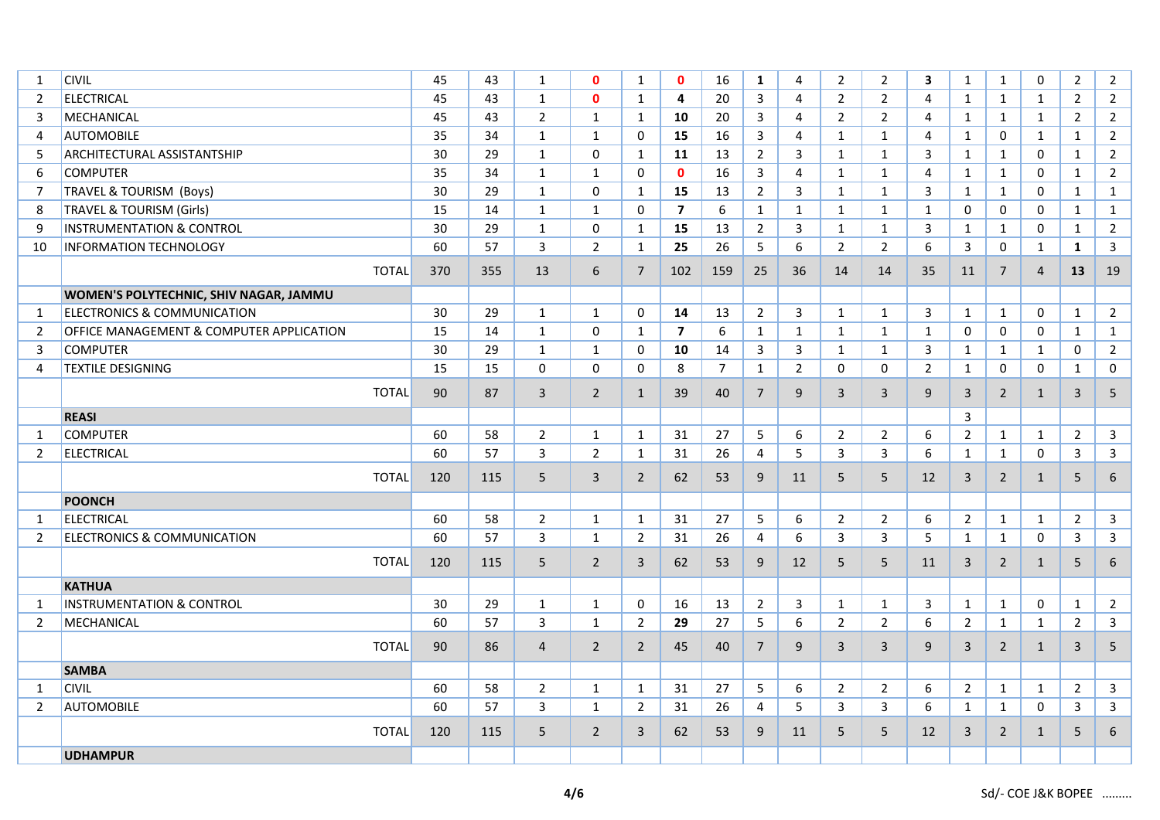| 1              | <b>CIVIL</b>                             | 45  | 43  | 1              | $\mathbf{0}$   | $\mathbf{1}$   | $\mathbf{0}$            | 16             | $\mathbf{1}$   | 4              | $\overline{2}$ | $\overline{2}$ | 3              | $\mathbf{1}$   | $\mathbf{1}$   | $\mathbf 0$    | $\overline{2}$ | $\overline{2}$          |
|----------------|------------------------------------------|-----|-----|----------------|----------------|----------------|-------------------------|----------------|----------------|----------------|----------------|----------------|----------------|----------------|----------------|----------------|----------------|-------------------------|
| 2              | <b>ELECTRICAL</b>                        | 45  | 43  | $\mathbf{1}$   | $\mathbf{0}$   | $\mathbf{1}$   | 4                       | 20             | 3              | 4              | $\overline{2}$ | $\overline{2}$ | $\overline{4}$ | $\mathbf{1}$   | $\mathbf{1}$   | $\mathbf{1}$   | $\overline{2}$ | $2^{\circ}$             |
| 3              | <b>MECHANICAL</b>                        | 45  | 43  | $\overline{2}$ | $\mathbf{1}$   | $\mathbf{1}$   | 10                      | 20             | 3              | 4              | $\overline{2}$ | $\overline{2}$ | $\overline{4}$ | $\mathbf{1}$   | $\mathbf{1}$   | $\mathbf{1}$   | $\overline{2}$ | $2^{\circ}$             |
| $\overline{4}$ | <b>AUTOMOBILE</b>                        | 35  | 34  | $\mathbf{1}$   | $\mathbf{1}$   | $\Omega$       | 15                      | 16             | 3              | $\overline{4}$ | $\mathbf{1}$   | $\mathbf{1}$   | $\overline{4}$ | $\mathbf{1}$   | $\mathbf 0$    | $\mathbf{1}$   | $\mathbf{1}$   | $\overline{2}$          |
| 5              | <b>ARCHITECTURAL ASSISTANTSHIP</b>       | 30  | 29  | 1              | $\Omega$       | $\mathbf{1}$   | 11                      | 13             | $2^{\circ}$    | 3              | $\mathbf{1}$   | $\mathbf{1}$   | 3              | $\mathbf{1}$   | $\mathbf{1}$   | $\mathbf 0$    | $\mathbf{1}$   | $\overline{2}$          |
| 6              | <b>COMPUTER</b>                          | 35  | 34  | $\mathbf{1}$   | $\mathbf{1}$   | $\mathbf 0$    | $\mathbf{0}$            | 16             | $\mathbf{3}$   | 4              | $\mathbf{1}$   | $\mathbf{1}$   | $\overline{4}$ | $\mathbf{1}$   | $\mathbf{1}$   | $\mathbf 0$    | $\mathbf{1}$   | $\overline{2}$          |
| $\overline{7}$ | <b>TRAVEL &amp; TOURISM (Boys)</b>       | 30  | 29  | 1              | $\Omega$       | $\mathbf{1}$   | 15                      | 13             | $2^{\circ}$    | 3              | $\mathbf{1}$   | $\mathbf{1}$   | 3              | $\mathbf{1}$   | $\mathbf{1}$   | $\mathbf 0$    | $\mathbf{1}$   | $\mathbf{1}$            |
| 8              | <b>TRAVEL &amp; TOURISM (Girls)</b>      | 15  | 14  | $\mathbf{1}$   | $\mathbf{1}$   | $\mathbf 0$    | $\overline{\mathbf{z}}$ | 6              | $\mathbf{1}$   | $\mathbf{1}$   | $\mathbf{1}$   | $\mathbf{1}$   | $\mathbf{1}$   | $\mathbf 0$    | $\mathbf 0$    | $\mathbf 0$    | $\mathbf{1}$   | $\mathbf{1}$            |
| 9              | <b>INSTRUMENTATION &amp; CONTROL</b>     | 30  | 29  | $\mathbf{1}$   | $\Omega$       | $\mathbf{1}$   | 15                      | 13             | $2^{\circ}$    | 3              | $\mathbf{1}$   | $\mathbf{1}$   | 3              | $\mathbf{1}$   | $\mathbf{1}$   | $\mathbf 0$    | $\mathbf{1}$   | $2^{\circ}$             |
| 10             | <b>INFORMATION TECHNOLOGY</b>            | 60  | 57  | 3              | $\overline{2}$ | $\mathbf{1}$   | 25                      | 26             | 5              | 6              | $\overline{2}$ | $\overline{2}$ | 6              | 3              | $\mathbf 0$    | $\mathbf{1}$   | $\mathbf{1}$   | 3                       |
|                | <b>TOTAL</b>                             | 370 | 355 | 13             | 6              | $\overline{7}$ | 102                     | 159            | 25             | 36             | 14             | 14             | 35             | 11             | $\overline{7}$ | $\overline{4}$ | 13             | 19                      |
|                | WOMEN'S POLYTECHNIC, SHIV NAGAR, JAMMU   |     |     |                |                |                |                         |                |                |                |                |                |                |                |                |                |                |                         |
| 1              | <b>ELECTRONICS &amp; COMMUNICATION</b>   | 30  | 29  | $\mathbf{1}$   | $\mathbf{1}$   | 0              | 14                      | 13             | $\overline{2}$ | $\mathbf{3}$   | $\mathbf{1}$   | $\mathbf{1}$   | 3              | $\mathbf{1}$   | $\mathbf{1}$   | 0              | $\mathbf{1}$   | $\overline{2}$          |
| $\overline{2}$ | OFFICE MANAGEMENT & COMPUTER APPLICATION | 15  | 14  | $\mathbf{1}$   | 0              | $\mathbf{1}$   | $\overline{\mathbf{z}}$ | 6              | $\mathbf{1}$   | $\mathbf{1}$   | $\mathbf{1}$   | $\mathbf{1}$   | $\mathbf{1}$   | 0              | 0              | $\mathbf 0$    | $\mathbf{1}$   | $\mathbf{1}$            |
| 3              | <b>COMPUTER</b>                          | 30  | 29  | $\mathbf{1}$   | $\mathbf{1}$   | 0              | 10                      | 14             | $\mathbf{3}$   | 3              | $\mathbf{1}$   | $\mathbf{1}$   | 3              | $\mathbf{1}$   | $\mathbf{1}$   | $\mathbf{1}$   | 0              | $\overline{2}$          |
| 4              | <b>TEXTILE DESIGNING</b>                 | 15  | 15  | 0              | 0              | 0              | 8                       | $\overline{7}$ | $\mathbf{1}$   | $\overline{2}$ | 0              | 0              | $\overline{2}$ | $\mathbf{1}$   | 0              | $\mathbf 0$    | $\mathbf{1}$   | 0                       |
|                | <b>TOTAL</b>                             | 90  | 87  | $\overline{3}$ | $\overline{2}$ | $\mathbf{1}$   | 39                      | 40             | $7^{\circ}$    | 9              | $\overline{3}$ | 3              | 9              | $\overline{3}$ | $\overline{2}$ | $\mathbf{1}$   | $\mathbf{3}$   | 5                       |
|                | <b>REASI</b>                             |     |     |                |                |                |                         |                |                |                |                |                |                | 3              |                |                |                |                         |
| 1              | <b>COMPUTER</b>                          | 60  | 58  | $\overline{2}$ | $\mathbf{1}$   | $\mathbf{1}$   | 31                      | 27             | 5              | 6              | $\overline{2}$ | $\overline{2}$ | 6              | $\overline{2}$ | $\mathbf{1}$   | $\mathbf{1}$   | $\overline{2}$ | $\mathbf{3}$            |
| $\overline{2}$ | <b>ELECTRICAL</b>                        | 60  | 57  | 3              | $\overline{2}$ | $\mathbf{1}$   | 31                      | 26             | $\overline{4}$ | 5              | 3              | $\overline{3}$ | 6              | $\mathbf{1}$   | $\mathbf{1}$   | $\mathbf 0$    | $\mathbf{3}$   | $\overline{\mathbf{3}}$ |
|                | <b>TOTAL</b>                             | 120 | 115 | 5              | $\overline{3}$ | $\overline{2}$ | 62                      | 53             | 9              | 11             | 5              | 5              | 12             | $\overline{3}$ | $\overline{2}$ | $\mathbf{1}$   | 5              | 6                       |
|                | <b>POONCH</b>                            |     |     |                |                |                |                         |                |                |                |                |                |                |                |                |                |                |                         |
| 1              | <b>ELECTRICAL</b>                        | 60  | 58  | $\overline{2}$ | $\mathbf{1}$   | $\mathbf{1}$   | 31                      | 27             | 5              | 6              | $\overline{2}$ | $\overline{2}$ | 6              | $\overline{2}$ | $\mathbf{1}$   | $\mathbf{1}$   | $\overline{2}$ | $\mathbf{3}$            |
| $\overline{2}$ | ELECTRONICS & COMMUNICATION              | 60  | 57  | $\overline{3}$ | $\mathbf{1}$   | $\overline{2}$ | 31                      | 26             | $\overline{4}$ | 6              | 3              | 3              | 5              | $\mathbf{1}$   | $\mathbf{1}$   | $\mathbf 0$    | 3              | $\mathbf{3}$            |
|                | <b>TOTAL</b>                             | 120 | 115 | 5              | $\overline{2}$ | $\mathbf{3}$   | 62                      | 53             | 9              | 12             | 5              | 5              | 11             | 3              | $\overline{2}$ | $\mathbf{1}$   | $5\phantom{.}$ | 6                       |
|                | <b>KATHUA</b>                            |     |     |                |                |                |                         |                |                |                |                |                |                |                |                |                |                |                         |
| 1              | <b>INSTRUMENTATION &amp; CONTROL</b>     | 30  | 29  | $\mathbf{1}$   | $\mathbf{1}$   | 0              | 16                      | 13             | $\overline{2}$ | 3              | $\mathbf{1}$   | $\mathbf{1}$   | 3              | $\mathbf{1}$   | $\mathbf{1}$   | 0              | $\mathbf{1}$   | $2^{\circ}$             |
| $\overline{2}$ | MECHANICAL                               | 60  | 57  | 3              | $\mathbf{1}$   | $\overline{2}$ | 29                      | 27             | 5              | 6              | $\overline{2}$ | $\overline{2}$ | 6              | $\overline{2}$ | $\mathbf{1}$   | $\mathbf{1}$   | $\overline{2}$ | $\mathbf{3}$            |
|                | <b>TOTAL</b>                             | 90  | 86  | $\overline{4}$ | $\overline{2}$ | $\overline{2}$ | 45                      | 40             | $\overline{7}$ | 9              | 3              | 3              | 9              | 3              | $\overline{2}$ | $\mathbf{1}$   | $\mathbf{3}$   | 5                       |
|                | <b>SAMBA</b>                             |     |     |                |                |                |                         |                |                |                |                |                |                |                |                |                |                |                         |
| 1              | <b>CIVIL</b>                             | 60  | 58  | $\overline{2}$ | $\mathbf{1}$   | $\mathbf{1}$   | 31                      | 27             | 5              | 6              | $\overline{2}$ | $\overline{2}$ | 6              | $\overline{2}$ | $\mathbf{1}$   | $\mathbf{1}$   | $\overline{2}$ | 3 <sup>1</sup>          |
| $\overline{2}$ | <b>AUTOMOBILE</b>                        | 60  | 57  | 3              | $\mathbf{1}$   | $\overline{2}$ | 31                      | 26             | $\overline{4}$ | 5              | 3              | 3              | 6              | 1              | $\mathbf{1}$   | $\mathbf 0$    | 3              | 3 <sup>1</sup>          |
|                | <b>TOTAL</b>                             | 120 | 115 | 5              | $\overline{2}$ | $\overline{3}$ | 62                      | 53             | 9              | 11             | 5              | 5              | 12             | $\overline{3}$ | $\overline{2}$ | $\mathbf{1}$   | 5              | 6                       |
|                | <b>UDHAMPUR</b>                          |     |     |                |                |                |                         |                |                |                |                |                |                |                |                |                |                |                         |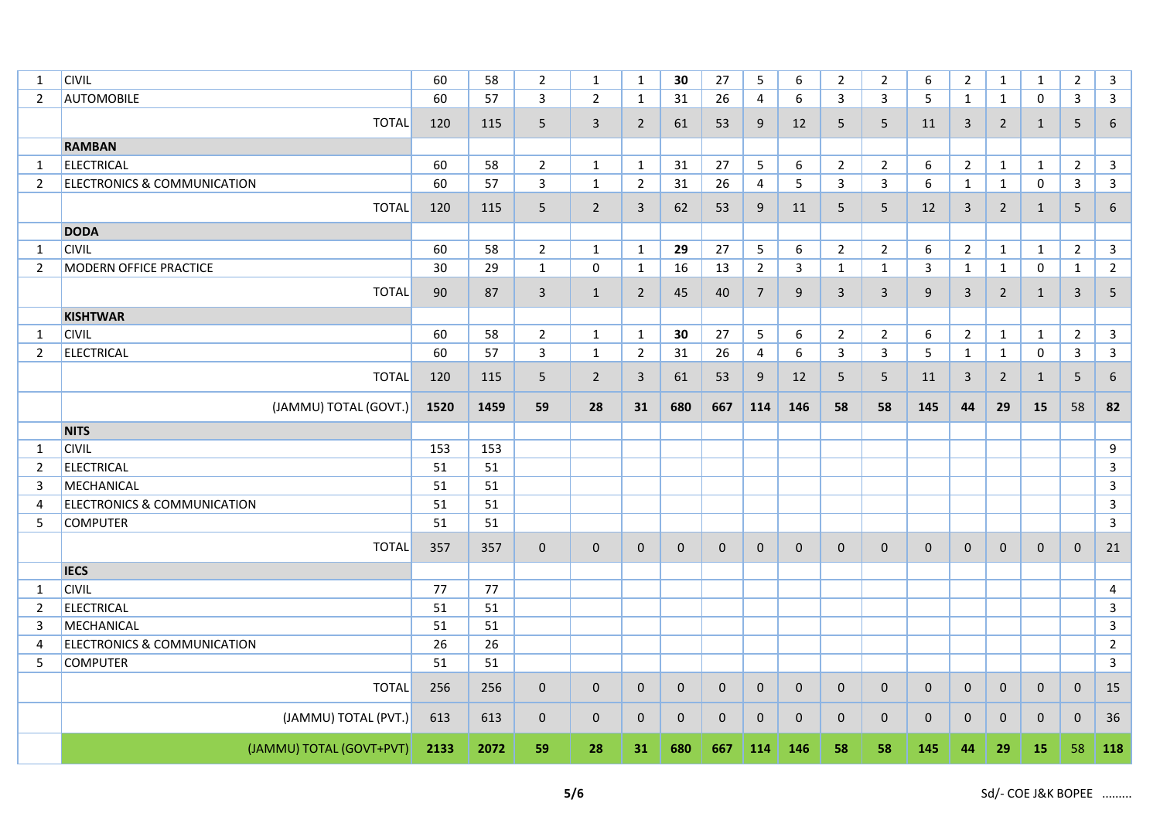| 1              | <b>CIVIL</b>                           | 60   | 58   | $\overline{2}$ | $\mathbf{1}$   | $\mathbf{1}$   | 30           | 27           | 5              | 6                | $\overline{2}$ | $\overline{2}$  | 6            | $\overline{2}$ | $\mathbf{1}$   | $\mathbf{1}$ | $\overline{2}$  | 3                |
|----------------|----------------------------------------|------|------|----------------|----------------|----------------|--------------|--------------|----------------|------------------|----------------|-----------------|--------------|----------------|----------------|--------------|-----------------|------------------|
| $\overline{2}$ | <b>AUTOMOBILE</b>                      | 60   | 57   | 3              | $\overline{2}$ | 1              | 31           | 26           | 4              | 6                | 3              | 3               | 5            | $\mathbf{1}$   | $\mathbf{1}$   | 0            | 3               | 3                |
|                | <b>TOTAL</b>                           | 120  | 115  | 5              | 3              | $\overline{2}$ | 61           | 53           | 9              | 12               | 5              | 5               | 11           | 3              | $\overline{2}$ | $\mathbf{1}$ | 5               | 6                |
|                | <b>RAMBAN</b>                          |      |      |                |                |                |              |              |                |                  |                |                 |              |                |                |              |                 |                  |
| $\mathbf{1}$   | <b>ELECTRICAL</b>                      | 60   | 58   | $\overline{2}$ | $\mathbf{1}$   | $\mathbf{1}$   | 31           | 27           | 5              | $\boldsymbol{6}$ | $\overline{2}$ | $\overline{2}$  | 6            | $2^{\circ}$    | $\mathbf{1}$   | $\mathbf{1}$ | $\overline{2}$  | $\mathsf{3}$     |
| $\overline{2}$ | <b>ELECTRONICS &amp; COMMUNICATION</b> | 60   | 57   | 3              | $\mathbf{1}$   | $\overline{2}$ | 31           | 26           | 4              | 5                | 3              | $\mathbf{3}$    | 6            | $\mathbf{1}$   | $\mathbf{1}$   | $\mathbf 0$  | 3               | $\mathbf{3}$     |
|                | <b>TOTAL</b>                           | 120  | 115  | 5              | $\overline{2}$ | $\mathsf{3}$   | 62           | 53           | 9              | 11               | 5              | $5\phantom{.0}$ | 12           | 3              | $\overline{2}$ | $\mathbf{1}$ | 5               | $\boldsymbol{6}$ |
|                | <b>DODA</b>                            |      |      |                |                |                |              |              |                |                  |                |                 |              |                |                |              |                 |                  |
| 1              | <b>CIVIL</b>                           | 60   | 58   | $\overline{2}$ | $\mathbf{1}$   | $\mathbf{1}$   | 29           | 27           | 5              | 6                | $\overline{2}$ | $\overline{2}$  | 6            | $2^{\circ}$    | $\mathbf{1}$   | $\mathbf{1}$ | $\overline{2}$  | $\mathbf{3}$     |
| $\overline{2}$ | <b>MODERN OFFICE PRACTICE</b>          | 30   | 29   | 1              | $\mathbf 0$    | 1              | 16           | 13           | $\overline{2}$ | 3                | $\mathbf{1}$   | $\mathbf{1}$    | 3            | $\mathbf{1}$   | $\mathbf{1}$   | 0            | $\mathbf{1}$    | $\overline{2}$   |
|                | <b>TOTAL</b>                           | 90   | 87   | 3              | $\mathbf{1}$   | $\overline{2}$ | 45           | 40           | $7^{\circ}$    | 9                | 3              | $\mathbf{3}$    | 9            | 3              | $\overline{2}$ | 1            | $\mathbf{3}$    | 5                |
|                | <b>KISHTWAR</b>                        |      |      |                |                |                |              |              |                |                  |                |                 |              |                |                |              |                 |                  |
| $\mathbf{1}$   | <b>CIVIL</b>                           | 60   | 58   | $\overline{2}$ | $\mathbf{1}$   | $\mathbf{1}$   | 30           | 27           | $5\phantom{.}$ | 6                | $\overline{2}$ | $\overline{2}$  | 6            | $2^{\circ}$    | $\mathbf{1}$   | $\mathbf{1}$ | $\overline{2}$  | $\mathbf{3}$     |
| $\overline{2}$ | ELECTRICAL                             | 60   | 57   | $\mathbf{3}$   | $\mathbf{1}$   | $\overline{2}$ | 31           | 26           | 4              | 6                | 3              | $\mathbf{3}$    | 5            | $\mathbf{1}$   | $\mathbf{1}$   | $\mathsf{O}$ | $\mathbf{3}$    | $\mathbf{3}$     |
|                | <b>TOTAL</b>                           | 120  | 115  | 5              | $\overline{2}$ | 3              | 61           | 53           | 9              | 12               | 5              | $5\phantom{.0}$ | 11           | 3              | $\overline{2}$ | $\mathbf{1}$ | $5\phantom{.0}$ | 6                |
|                | (JAMMU) TOTAL (GOVT.)                  | 1520 | 1459 | 59             | 28             | 31             | 680          | 667          | 114            | 146              | 58             | 58              | 145          | 44             | 29             | 15           | 58              | 82               |
|                | <b>NITS</b>                            |      |      |                |                |                |              |              |                |                  |                |                 |              |                |                |              |                 |                  |
| 1              | <b>CIVIL</b>                           | 153  | 153  |                |                |                |              |              |                |                  |                |                 |              |                |                |              |                 | $\boldsymbol{9}$ |
| $\overline{2}$ | <b>ELECTRICAL</b>                      | 51   | 51   |                |                |                |              |              |                |                  |                |                 |              |                |                |              |                 | $\overline{3}$   |
| 3              | MECHANICAL                             | 51   | 51   |                |                |                |              |              |                |                  |                |                 |              |                |                |              |                 | $\overline{3}$   |
| $\overline{4}$ | <b>ELECTRONICS &amp; COMMUNICATION</b> | 51   | 51   |                |                |                |              |              |                |                  |                |                 |              |                |                |              |                 | $\mathbf{3}$     |
| 5              | <b>COMPUTER</b>                        | 51   | 51   |                |                |                |              |              |                |                  |                |                 |              |                |                |              |                 | $\overline{3}$   |
|                | <b>TOTAL</b>                           | 357  | 357  | $\mathbf 0$    | $\mathbf 0$    | $\mathbf{0}$   | $\mathbf 0$  | $\mathbf{0}$ | $\mathbf{0}$   | $\mathbf 0$      | $\mathbf{0}$   | $\mathbf 0$     | $\mathbf 0$  | $\mathbf{0}$   | $\mathbf{0}$   | $\mathbf{0}$ | $\mathbf 0$     | 21               |
|                | <b>IECS</b>                            |      |      |                |                |                |              |              |                |                  |                |                 |              |                |                |              |                 |                  |
| 1              | <b>CIVIL</b>                           | 77   | 77   |                |                |                |              |              |                |                  |                |                 |              |                |                |              |                 | 4                |
| 2              | <b>ELECTRICAL</b>                      | 51   | 51   |                |                |                |              |              |                |                  |                |                 |              |                |                |              |                 | $\mathsf{3}$     |
| 3              | MECHANICAL                             | 51   | 51   |                |                |                |              |              |                |                  |                |                 |              |                |                |              |                 | $\overline{3}$   |
| $\overline{4}$ | <b>ELECTRONICS &amp; COMMUNICATION</b> | 26   | 26   |                |                |                |              |              |                |                  |                |                 |              |                |                |              |                 | $\overline{2}$   |
| 5              | <b>COMPUTER</b>                        | 51   | 51   |                |                |                |              |              |                |                  |                |                 |              |                |                |              |                 | 3                |
|                | <b>TOTAL</b>                           | 256  | 256  | $\mathbf 0$    | $\mathbf 0$    | $\mathbf 0$    | $\mathbf 0$  | $\mathbf 0$  | $\mathbf 0$    | $\mathbf 0$      | $\mathbf 0$    | $\mathbf 0$     | $\mathbf 0$  | $\mathbf 0$    | $\mathbf 0$    | $\mathbf 0$  | $\mathbf 0$     | 15               |
|                | (JAMMU) TOTAL (PVT.)                   | 613  | 613  | $\mathbf{0}$   | $\mathbf 0$    | $\mathbf{0}$   | $\mathbf{0}$ | $\mathbf{0}$ | $\mathbf{0}$   | $\mathbf{0}$     | $\mathbf{0}$   | $\mathbf 0$     | $\mathbf{0}$ | $\mathbf{0}$   | $\mathbf{0}$   | $\mathbf{0}$ | $\mathbf{0}$    | 36               |
|                | (JAMMU) TOTAL (GOVT+PVT)               | 2133 | 2072 | 59             | 28             | 31             | 680          | 667          | 114            | 146              | 58             | 58              | 145          | 44             | 29             | 15           | 58              | 118              |